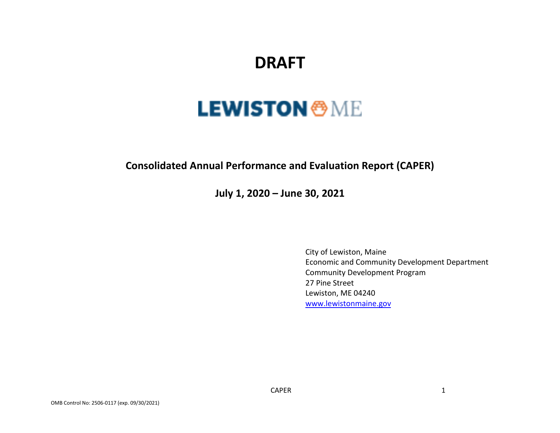## **DRAFT**

# **LEWISTON <sup>®</sup>ME**

## **Consolidated Annual Performance and Evaluation Report (CAPER)**

**July 1, 2020 – June 30, 2021**

City of Lewiston, Maine Economic and Community Development Department Community Development Program 27 Pine Street Lewiston, ME 04240 [www.lewistonmaine.gov](http://www.lewistonmaine.gov/)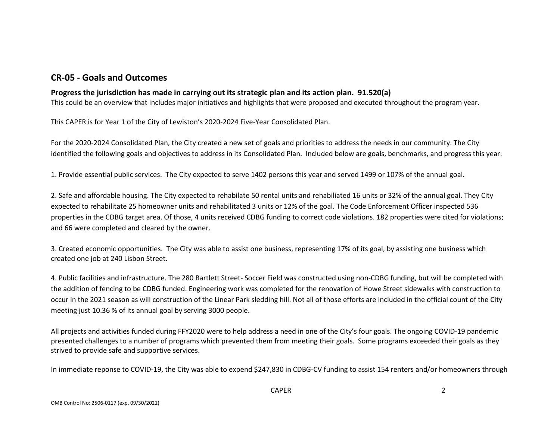## **CR-05 - Goals and Outcomes**

#### **Progress the jurisdiction has made in carrying out its strategic plan and its action plan. 91.520(a)**

This could be an overview that includes major initiatives and highlights that were proposed and executed throughout the program year.

This CAPER is for Year 1 of the City of Lewiston's 2020-2024 Five-Year Consolidated Plan.

For the 2020-2024 Consolidated Plan, the City created a new set of goals and priorities to address the needs in our community. The City identified the following goals and objectives to address in its Consolidated Plan. Included below are goals, benchmarks, and progress this year:

1. Provide essential public services. The City expected to serve 1402 persons this year and served 1499 or 107% of the annual goal.

2. Safe and affordable housing. The City expected to rehabilate 50 rental units and rehabiliated 16 units or 32% of the annual goal. They City expected to rehabilitate 25 homeowner units and rehabilitated 3 units or 12% of the goal. The Code Enforcement Officer inspected 536 properties in the CDBG target area. Of those, 4 units received CDBG funding to correct code violations. 182 properties were cited for violations; and 66 were completed and cleared by the owner.

3. Created economic opportunities. The City was able to assist one business, representing 17% of its goal, by assisting one business which created one job at 240 Lisbon Street.

4. Public facilities and infrastructure. The 280 Bartlett Street- Soccer Field was constructed using non-CDBG funding, but will be completed with the addition of fencing to be CDBG funded. Engineering work was completed for the renovation of Howe Street sidewalks with construction to occur in the 2021 season as will construction of the Linear Park sledding hill. Not all of those efforts are included in the official count of the City meeting just 10.36 % of its annual goal by serving 3000 people.

All projects and activities funded during FFY2020 were to help address a need in one of the City's four goals. The ongoing COVID-19 pandemic presented challenges to a number of programs which prevented them from meeting their goals. Some programs exceeded their goals as they strived to provide safe and supportive services.

In immediate reponse to COVID-19, the City was able to expend \$247,830 in CDBG-CV funding to assist 154 renters and/or homeowners through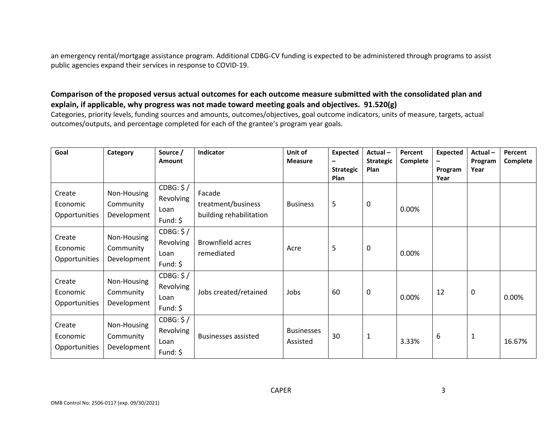an emergency rental/mortgage assistance program. Additional CDBG-CV funding is expected to be administered through programs to assist public agencies expand their services in response to COVID-19.

#### **Comparison of the proposed versus actual outcomes for each outcome measure submitted with the consolidated plan and explain, if applicable, why progress was not made toward meeting goals and objectives. 91.520(g)**

Categories, priority levels, funding sources and amounts, outcomes/objectives, goal outcome indicators, units of measure, targets, actual outcomes/outputs, and percentage completed for each of the grantee's program year goals.

| Goal                                | Category                                | Source /<br>Amount                          | Indicator                                               | Unit of<br><b>Measure</b>     | <b>Expected</b><br><b>Strategic</b><br><b>Plan</b> | Actual-<br><b>Strategic</b><br>Plan | Percent<br>Complete | <b>Expected</b><br>Program<br>Year | Actual-<br>Program<br>Year | Percent<br>Complete |
|-------------------------------------|-----------------------------------------|---------------------------------------------|---------------------------------------------------------|-------------------------------|----------------------------------------------------|-------------------------------------|---------------------|------------------------------------|----------------------------|---------------------|
| Create<br>Economic<br>Opportunities | Non-Housing<br>Community<br>Development | CDBG: \$/<br>Revolving<br>Loan<br>Fund: $$$ | Facade<br>treatment/business<br>building rehabilitation | <b>Business</b>               | 5                                                  | 0                                   | 0.00%               |                                    |                            |                     |
| Create<br>Economic<br>Opportunities | Non-Housing<br>Community<br>Development | CDBG: \$/<br>Revolving<br>Loan<br>Fund: $$$ | Brownfield acres<br>remediated                          | Acre                          | 5                                                  | 0                                   | 0.00%               |                                    |                            |                     |
| Create<br>Economic<br>Opportunities | Non-Housing<br>Community<br>Development | CDBG: \$/<br>Revolving<br>Loan<br>Fund: $$$ | Jobs created/retained                                   | Jobs                          | 60                                                 | 0                                   | 0.00%               | 12                                 | 0                          | 0.00%               |
| Create<br>Economic<br>Opportunities | Non-Housing<br>Community<br>Development | CDBG: \$/<br>Revolving<br>Loan<br>Fund: $$$ | <b>Businesses assisted</b>                              | <b>Businesses</b><br>Assisted | 30                                                 | $\mathbf{1}$                        | 3.33%               | 6                                  | 1                          | 16.67%              |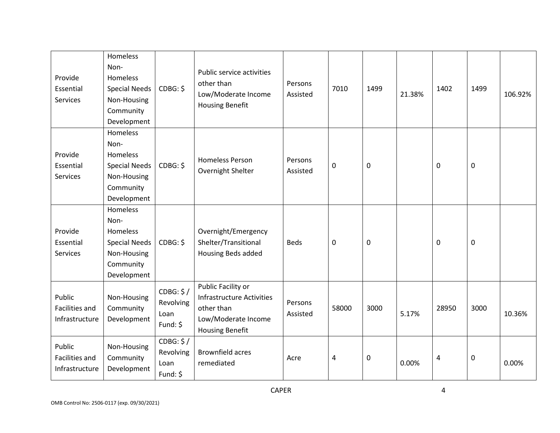| Provide<br>Essential<br><b>Services</b>           | Homeless<br>Non-<br>Homeless<br><b>Special Needs</b><br>Non-Housing<br>Community<br>Development | CDBG: \$                                    | Public service activities<br>other than<br>Low/Moderate Income<br><b>Housing Benefit</b>                       | Persons<br>Assisted | 7010      | 1499      | 21.38% | 1402        | 1499             | 106.92% |
|---------------------------------------------------|-------------------------------------------------------------------------------------------------|---------------------------------------------|----------------------------------------------------------------------------------------------------------------|---------------------|-----------|-----------|--------|-------------|------------------|---------|
| Provide<br>Essential<br><b>Services</b>           | Homeless<br>Non-<br>Homeless<br><b>Special Needs</b><br>Non-Housing<br>Community<br>Development | CDBG: \$                                    | <b>Homeless Person</b><br>Overnight Shelter                                                                    | Persons<br>Assisted | 0         | 0         |        | $\mathbf 0$ | 0                |         |
| Provide<br>Essential<br><b>Services</b>           | Homeless<br>Non-<br>Homeless<br><b>Special Needs</b><br>Non-Housing<br>Community<br>Development | CDBG: \$                                    | Overnight/Emergency<br>Shelter/Transitional<br>Housing Beds added                                              | <b>Beds</b>         | $\pmb{0}$ | $\pmb{0}$ |        | $\mathbf 0$ | $\pmb{0}$        |         |
| Public<br><b>Facilities and</b><br>Infrastructure | Non-Housing<br>Community<br>Development                                                         | CDBG: \$/<br>Revolving<br>Loan<br>Fund: \$  | Public Facility or<br>Infrastructure Activities<br>other than<br>Low/Moderate Income<br><b>Housing Benefit</b> | Persons<br>Assisted | 58000     | 3000      | 5.17%  | 28950       | 3000             | 10.36%  |
| Public<br>Facilities and<br>Infrastructure        | Non-Housing<br>Community<br>Development                                                         | CDBG: \$/<br>Revolving<br>Loan<br>Fund: $$$ | <b>Brownfield acres</b><br>remediated                                                                          | Acre                | 4         | 0         | 0.00%  | 4           | $\boldsymbol{0}$ | 0.00%   |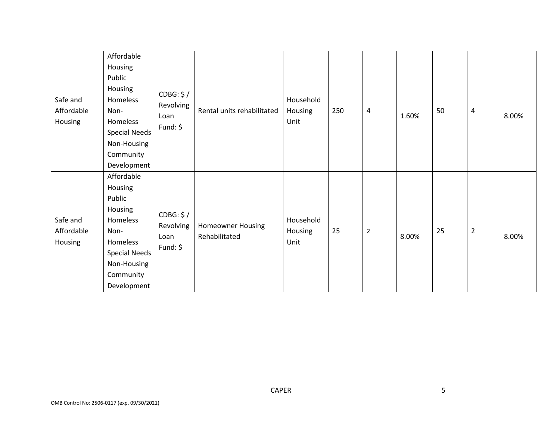| Safe and<br>Affordable<br>Housing | Affordable<br>Housing<br>Public<br>Housing<br>Homeless<br>Non-<br>Homeless<br><b>Special Needs</b><br>Non-Housing<br>Community<br>Development | CDBG: \$/<br>Revolving<br>Loan<br>Fund: \$ | Rental units rehabilitated                | Household<br>Housing<br>Unit | 250 | 4              | 1.60% | 50 | 4              | 8.00% |
|-----------------------------------|-----------------------------------------------------------------------------------------------------------------------------------------------|--------------------------------------------|-------------------------------------------|------------------------------|-----|----------------|-------|----|----------------|-------|
| Safe and<br>Affordable<br>Housing | Affordable<br>Housing<br>Public<br>Housing<br>Homeless<br>Non-<br>Homeless<br><b>Special Needs</b><br>Non-Housing<br>Community<br>Development | CDBG: \$/<br>Revolving<br>Loan<br>Fund: \$ | <b>Homeowner Housing</b><br>Rehabilitated | Household<br>Housing<br>Unit | 25  | $\overline{2}$ | 8.00% | 25 | $\overline{2}$ | 8.00% |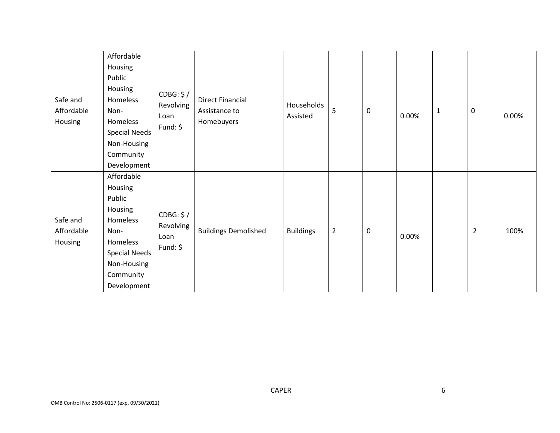| Safe and<br>Affordable<br>Housing | Affordable<br>Housing<br>Public<br>Housing<br>Homeless<br>Non-<br>Homeless<br><b>Special Needs</b><br>Non-Housing<br>Community<br>Development | CDBG: \$/<br>Revolving<br>Loan<br>Fund: $$$ | <b>Direct Financial</b><br>Assistance to<br>Homebuyers | Households<br>Assisted | 5              | $\mathbf 0$ | 0.00% | $\mathbf{1}$ | 0              | 0.00% |
|-----------------------------------|-----------------------------------------------------------------------------------------------------------------------------------------------|---------------------------------------------|--------------------------------------------------------|------------------------|----------------|-------------|-------|--------------|----------------|-------|
| Safe and<br>Affordable<br>Housing | Affordable<br>Housing<br>Public<br>Housing<br>Homeless<br>Non-<br>Homeless<br><b>Special Needs</b><br>Non-Housing<br>Community<br>Development | CDBG: \$/<br>Revolving<br>Loan<br>Fund: $$$ | <b>Buildings Demolished</b>                            | <b>Buildings</b>       | $\overline{2}$ | $\mathbf 0$ | 0.00% |              | $\overline{2}$ | 100%  |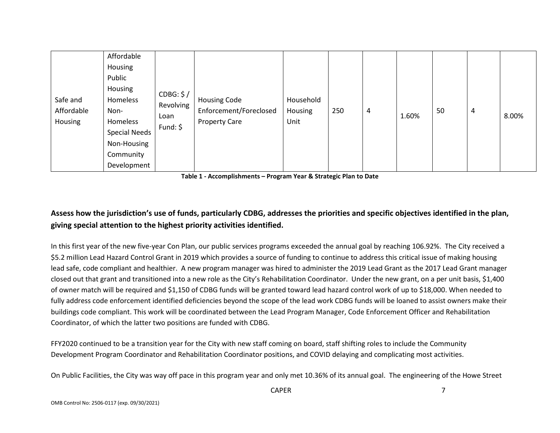| Safe and<br>Affordable<br>Housing | Affordable<br>Housing<br>Public<br>Housing<br>CDBG: \$/<br>Homeless<br>Revolving<br>Non-<br>Loan<br>Homeless<br>Fund: $\oint$<br><b>Special Needs</b><br>Non-Housing<br>Community<br>Development | <b>Housing Code</b><br>Enforcement/Foreclosed<br><b>Property Care</b> | Household<br>Housing<br>Unit | 250 | 4 | 1.60% | 50 | 4 | 8.00% |
|-----------------------------------|--------------------------------------------------------------------------------------------------------------------------------------------------------------------------------------------------|-----------------------------------------------------------------------|------------------------------|-----|---|-------|----|---|-------|
|-----------------------------------|--------------------------------------------------------------------------------------------------------------------------------------------------------------------------------------------------|-----------------------------------------------------------------------|------------------------------|-----|---|-------|----|---|-------|

**Table 1 - Accomplishments – Program Year & Strategic Plan to Date**

## **Assess how the jurisdiction's use of funds, particularly CDBG, addresses the priorities and specific objectives identified in the plan, giving special attention to the highest priority activities identified.**

In this first year of the new five-year Con Plan, our public services programs exceeded the annual goal by reaching 106.92%. The City received a \$5.2 million Lead Hazard Control Grant in 2019 which provides a source of funding to continue to address this critical issue of making housing lead safe, code compliant and healthier. A new program manager was hired to administer the 2019 Lead Grant as the 2017 Lead Grant manager closed out that grant and transitioned into a new role as the City's Rehabilitation Coordinator. Under the new grant, on a per unit basis, \$1,400 of owner match will be required and \$1,150 of CDBG funds will be granted toward lead hazard control work of up to \$18,000. When needed to fully address code enforcement identified deficiencies beyond the scope of the lead work CDBG funds will be loaned to assist owners make their buildings code compliant. This work will be coordinated between the Lead Program Manager, Code Enforcement Officer and Rehabilitation Coordinator, of which the latter two positions are funded with CDBG.

FFY2020 continued to be a transition year for the City with new staff coming on board, staff shifting roles to include the Community Development Program Coordinator and Rehabilitation Coordinator positions, and COVID delaying and complicating most activities.

On Public Facilities, the City was way off pace in this program year and only met 10.36% of its annual goal. The engineering of the Howe Street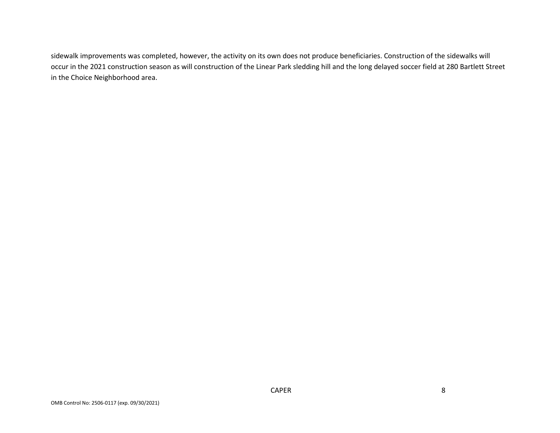sidewalk improvements was completed, however, the activity on its own does not produce beneficiaries. Construction of the sidewalks will occur in the 2021 construction season as will construction of the Linear Park sledding hill and the long delayed soccer field at 280 Bartlett Street in the Choice Neighborhood area.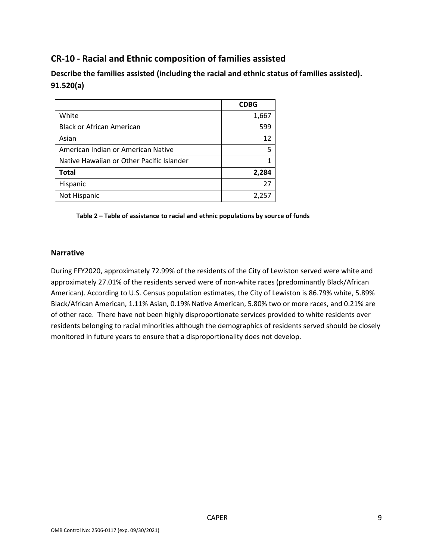## **CR-10 - Racial and Ethnic composition of families assisted**

**Describe the families assisted (including the racial and ethnic status of families assisted). 91.520(a)** 

|                                           | <b>CDBG</b> |
|-------------------------------------------|-------------|
| White                                     | 1,667       |
| <b>Black or African American</b>          | 599         |
| Asian                                     | 12          |
| American Indian or American Native        | 5           |
| Native Hawaiian or Other Pacific Islander |             |
| <b>Total</b>                              | 2,284       |
| Hispanic                                  | 27          |
| Not Hispanic                              | 2,257       |

**Table 2 – Table of assistance to racial and ethnic populations by source of funds**

#### **Narrative**

During FFY2020, approximately 72.99% of the residents of the City of Lewiston served were white and approximately 27.01% of the residents served were of non-white races (predominantly Black/African American). According to U.S. Census population estimates, the City of Lewiston is 86.79% white, 5.89% Black/African American, 1.11% Asian, 0.19% Native American, 5.80% two or more races, and 0.21% are of other race. There have not been highly disproportionate services provided to white residents over residents belonging to racial minorities although the demographics of residents served should be closely monitored in future years to ensure that a disproportionality does not develop.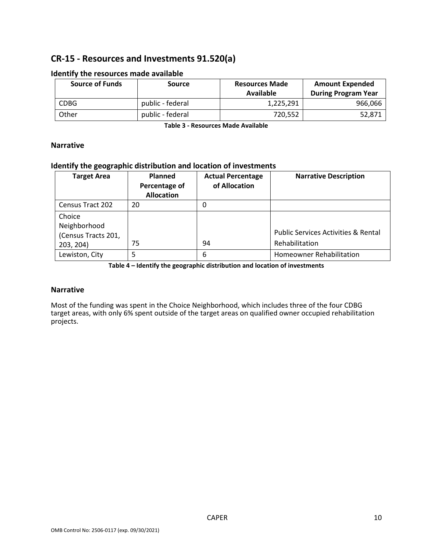## **CR-15 - Resources and Investments 91.520(a)**

| <b>Source of Funds</b> | <b>Source</b>    | <b>Resources Made</b><br>Available | <b>Amount Expended</b><br><b>During Program Year</b> |
|------------------------|------------------|------------------------------------|------------------------------------------------------|
| <b>CDBG</b>            | public - federal | 1,225,291                          | 966,066                                              |
| Other                  | public - federal | 720.552                            | 52,871                                               |

#### **Identify the resources made available**

**Table 3 - Resources Made Available**

#### **Narrative**

#### **Identify the geographic distribution and location of investments**

| <b>Target Area</b>      | <b>Planned</b><br>Percentage of<br><b>Allocation</b> | <b>Actual Percentage</b><br>of Allocation | <b>Narrative Description</b>                   |
|-------------------------|------------------------------------------------------|-------------------------------------------|------------------------------------------------|
| <b>Census Tract 202</b> | 20                                                   | 0                                         |                                                |
| Choice                  |                                                      |                                           |                                                |
| Neighborhood            |                                                      |                                           |                                                |
| (Census Tracts 201,     |                                                      |                                           | <b>Public Services Activities &amp; Rental</b> |
| 203, 204)               | 75                                                   | 94                                        | Rehabilitation                                 |
| Lewiston, City          |                                                      | 6                                         | <b>Homeowner Rehabilitation</b>                |

**Table 4 – Identify the geographic distribution and location of investments**

#### **Narrative**

Most of the funding was spent in the Choice Neighborhood, which includes three of the four CDBG target areas, with only 6% spent outside of the target areas on qualified owner occupied rehabilitation projects.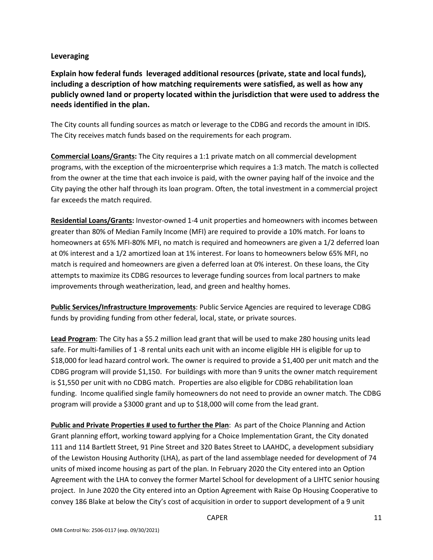#### **Leveraging**

**Explain how federal funds leveraged additional resources (private, state and local funds), including a description of how matching requirements were satisfied, as well as how any publicly owned land or property located within the jurisdiction that were used to address the needs identified in the plan.**

The City counts all funding sources as match or leverage to the CDBG and records the amount in IDIS. The City receives match funds based on the requirements for each program.

**Commercial Loans/Grants:** The City requires a 1:1 private match on all commercial development programs, with the exception of the microenterprise which requires a 1:3 match. The match is collected from the owner at the time that each invoice is paid, with the owner paying half of the invoice and the City paying the other half through its loan program. Often, the total investment in a commercial project far exceeds the match required.

**Residential Loans/Grants:** Investor-owned 1-4 unit properties and homeowners with incomes between greater than 80% of Median Family Income (MFI) are required to provide a 10% match. For loans to homeowners at 65% MFI-80% MFI, no match is required and homeowners are given a 1/2 deferred loan at 0% interest and a 1/2 amortized loan at 1% interest. For loans to homeowners below 65% MFI, no match is required and homeowners are given a deferred loan at 0% interest. On these loans, the City attempts to maximize its CDBG resources to leverage funding sources from local partners to make improvements through weatherization, lead, and green and healthy homes.

**Public Services/Infrastructure Improvements**: Public Service Agencies are required to leverage CDBG funds by providing funding from other federal, local, state, or private sources.

**Lead Program**: The City has a \$5.2 million lead grant that will be used to make 280 housing units lead safe. For multi-families of 1 -8 rental units each unit with an income eligible HH is eligible for up to \$18,000 for lead hazard control work. The owner is required to provide a \$1,400 per unit match and the CDBG program will provide \$1,150. For buildings with more than 9 units the owner match requirement is \$1,550 per unit with no CDBG match. Properties are also eligible for CDBG rehabilitation loan funding. Income qualified single family homeowners do not need to provide an owner match. The CDBG program will provide a \$3000 grant and up to \$18,000 will come from the lead grant.

**Public and Private Properties # used to further the Plan**: As part of the Choice Planning and Action Grant planning effort, working toward applying for a Choice Implementation Grant, the City donated 111 and 114 Bartlett Street, 91 Pine Street and 320 Bates Street to LAAHDC, a development subsidiary of the Lewiston Housing Authority (LHA), as part of the land assemblage needed for development of 74 units of mixed income housing as part of the plan. In February 2020 the City entered into an Option Agreement with the LHA to convey the former Martel School for development of a LIHTC senior housing project. In June 2020 the City entered into an Option Agreement with Raise Op Housing Cooperative to convey 186 Blake at below the City's cost of acquisition in order to support development of a 9 unit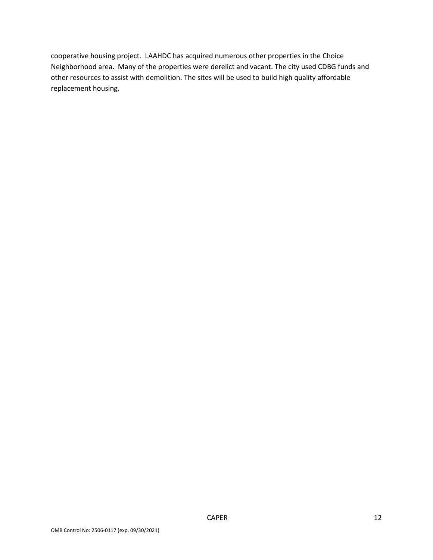cooperative housing project. LAAHDC has acquired numerous other properties in the Choice Neighborhood area. Many of the properties were derelict and vacant. The city used CDBG funds and other resources to assist with demolition. The sites will be used to build high quality affordable replacement housing.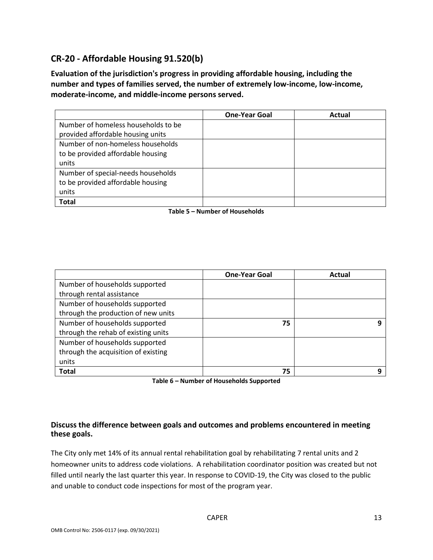## **CR-20 - Affordable Housing 91.520(b)**

**Evaluation of the jurisdiction's progress in providing affordable housing, including the number and types of families served, the number of extremely low-income, low-income, moderate-income, and middle-income persons served.**

|                                     | <b>One-Year Goal</b> | Actual |
|-------------------------------------|----------------------|--------|
| Number of homeless households to be |                      |        |
| provided affordable housing units   |                      |        |
| Number of non-homeless households   |                      |        |
| to be provided affordable housing   |                      |        |
| units                               |                      |        |
| Number of special-needs households  |                      |        |
| to be provided affordable housing   |                      |        |
| units                               |                      |        |
| <b>Total</b>                        |                      |        |

#### **Table 5 – Number of Households**

|                                     | <b>One-Year Goal</b> | Actual |
|-------------------------------------|----------------------|--------|
| Number of households supported      |                      |        |
| through rental assistance           |                      |        |
| Number of households supported      |                      |        |
| through the production of new units |                      |        |
| Number of households supported      | 75                   | Ω      |
| through the rehab of existing units |                      |        |
| Number of households supported      |                      |        |
| through the acquisition of existing |                      |        |
| units                               |                      |        |
| <b>Total</b>                        | 75                   | Ω      |

**Table 6 – Number of Households Supported**

#### **Discuss the difference between goals and outcomes and problems encountered in meeting these goals.**

The City only met 14% of its annual rental rehabilitation goal by rehabilitating 7 rental units and 2 homeowner units to address code violations. A rehabilitation coordinator position was created but not filled until nearly the last quarter this year. In response to COVID-19, the City was closed to the public and unable to conduct code inspections for most of the program year.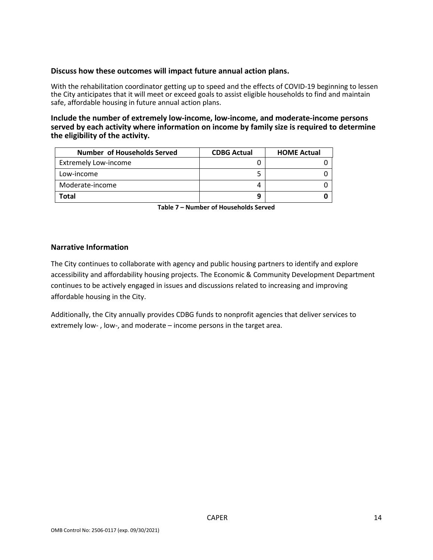#### **Discuss how these outcomes will impact future annual action plans.**

With the rehabilitation coordinator getting up to speed and the effects of COVID-19 beginning to lessen the City anticipates that it will meet or exceed goals to assist eligible households to find and maintain safe, affordable housing in future annual action plans.

#### **Include the number of extremely low-income, low-income, and moderate-income persons served by each activity where information on income by family size is required to determine the eligibility of the activity.**

| Number of Households Served | <b>CDBG Actual</b> | <b>HOME Actual</b> |
|-----------------------------|--------------------|--------------------|
| <b>Extremely Low-income</b> |                    |                    |
| Low-income                  |                    |                    |
| Moderate-income             |                    |                    |
| Total                       |                    |                    |

**Table 7 – Number of Households Served**

#### **Narrative Information**

The City continues to collaborate with agency and public housing partners to identify and explore accessibility and affordability housing projects. The Economic & Community Development Department continues to be actively engaged in issues and discussions related to increasing and improving affordable housing in the City.

Additionally, the City annually provides CDBG funds to nonprofit agencies that deliver services to extremely low- , low-, and moderate – income persons in the target area.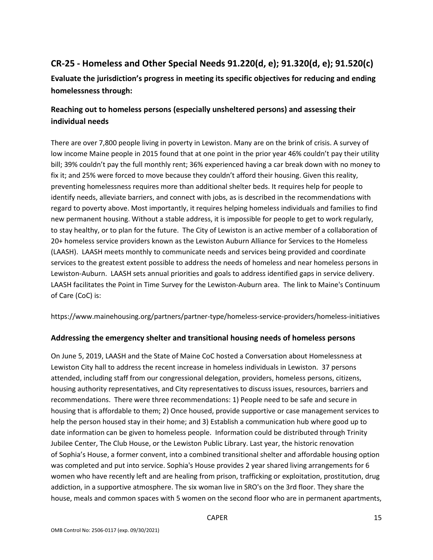## **CR-25 - Homeless and Other Special Needs 91.220(d, e); 91.320(d, e); 91.520(c)**

**Evaluate the jurisdiction's progress in meeting its specific objectives for reducing and ending homelessness through:**

## **Reaching out to homeless persons (especially unsheltered persons) and assessing their individual needs**

There are over 7,800 people living in poverty in Lewiston. Many are on the brink of crisis. A survey of low income Maine people in 2015 found that at one point in the prior year 46% couldn't pay their utility bill; 39% couldn't pay the full monthly rent; 36% experienced having a car break down with no money to fix it; and 25% were forced to move because they couldn't afford their housing. Given this reality, preventing homelessness requires more than additional shelter beds. It requires help for people to identify needs, alleviate barriers, and connect with jobs, as is described in the recommendations with regard to poverty above. Most importantly, it requires helping homeless individuals and families to find new permanent housing. Without a stable address, it is impossible for people to get to work regularly, to stay healthy, or to plan for the future. The City of Lewiston is an active member of a collaboration of 20+ homeless service providers known as the Lewiston Auburn Alliance for Services to the Homeless (LAASH). LAASH meets monthly to communicate needs and services being provided and coordinate services to the greatest extent possible to address the needs of homeless and near homeless persons in Lewiston-Auburn. LAASH sets annual priorities and goals to address identified gaps in service delivery. LAASH facilitates the Point in Time Survey for the Lewiston-Auburn area. The link to Maine's Continuum of Care (CoC) is:

https://www.mainehousing.org/partners/partner-type/homeless-service-providers/homeless-initiatives

## **Addressing the emergency shelter and transitional housing needs of homeless persons**

On June 5, 2019, LAASH and the State of Maine CoC hosted a Conversation about Homelessness at Lewiston City hall to address the recent increase in homeless individuals in Lewiston. 37 persons attended, including staff from our congressional delegation, providers, homeless persons, citizens, housing authority representatives, and City representatives to discuss issues, resources, barriers and recommendations. There were three recommendations: 1) People need to be safe and secure in housing that is affordable to them; 2) Once housed, provide supportive or case management services to help the person housed stay in their home; and 3) Establish a communication hub where good up to date information can be given to homeless people. Information could be distributed through Trinity Jubilee Center, The Club House, or the Lewiston Public Library. Last year, the historic renovation of Sophia's House, a former convent, into a combined transitional shelter and affordable housing option was completed and put into service. Sophia's House provides 2 year shared living arrangements for 6 women who have recently left and are healing from prison, trafficking or exploitation, prostitution, drug addiction, in a supportive atmosphere. The six woman live in SRO's on the 3rd floor. They share the house, meals and common spaces with 5 women on the second floor who are in permanent apartments,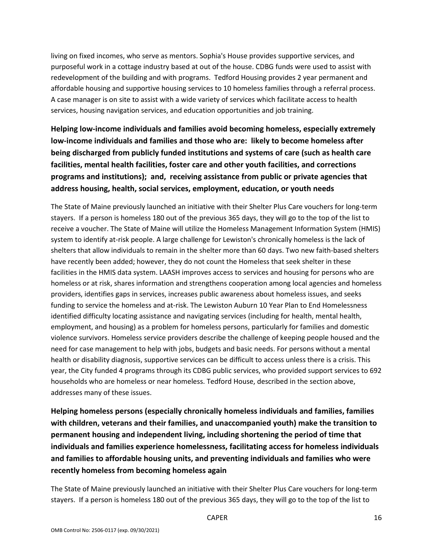living on fixed incomes, who serve as mentors. Sophia's House provides supportive services, and purposeful work in a cottage industry based at out of the house. CDBG funds were used to assist with redevelopment of the building and with programs. Tedford Housing provides 2 year permanent and affordable housing and supportive housing services to 10 homeless families through a referral process. A case manager is on site to assist with a wide variety of services which facilitate access to health services, housing navigation services, and education opportunities and job training.

**Helping low-income individuals and families avoid becoming homeless, especially extremely low-income individuals and families and those who are: likely to become homeless after being discharged from publicly funded institutions and systems of care (such as health care facilities, mental health facilities, foster care and other youth facilities, and corrections programs and institutions); and, receiving assistance from public or private agencies that address housing, health, social services, employment, education, or youth needs**

The State of Maine previously launched an initiative with their Shelter Plus Care vouchers for long-term stayers. If a person is homeless 180 out of the previous 365 days, they will go to the top of the list to receive a voucher. The State of Maine will utilize the Homeless Management Information System (HMIS) system to identify at-risk people. A large challenge for Lewiston's chronically homeless is the lack of shelters that allow individuals to remain in the shelter more than 60 days. Two new faith-based shelters have recently been added; however, they do not count the Homeless that seek shelter in these facilities in the HMIS data system. LAASH improves access to services and housing for persons who are homeless or at risk, shares information and strengthens cooperation among local agencies and homeless providers, identifies gaps in services, increases public awareness about homeless issues, and seeks funding to service the homeless and at-risk. The Lewiston Auburn 10 Year Plan to End Homelessness identified difficulty locating assistance and navigating services (including for health, mental health, employment, and housing) as a problem for homeless persons, particularly for families and domestic violence survivors. Homeless service providers describe the challenge of keeping people housed and the need for case management to help with jobs, budgets and basic needs. For persons without a mental health or disability diagnosis, supportive services can be difficult to access unless there is a crisis. This year, the City funded 4 programs through its CDBG public services, who provided support services to 692 households who are homeless or near homeless. Tedford House, described in the section above, addresses many of these issues.

**Helping homeless persons (especially chronically homeless individuals and families, families with children, veterans and their families, and unaccompanied youth) make the transition to permanent housing and independent living, including shortening the period of time that individuals and families experience homelessness, facilitating access for homeless individuals and families to affordable housing units, and preventing individuals and families who were recently homeless from becoming homeless again**

The State of Maine previously launched an initiative with their Shelter Plus Care vouchers for long-term stayers. If a person is homeless 180 out of the previous 365 days, they will go to the top of the list to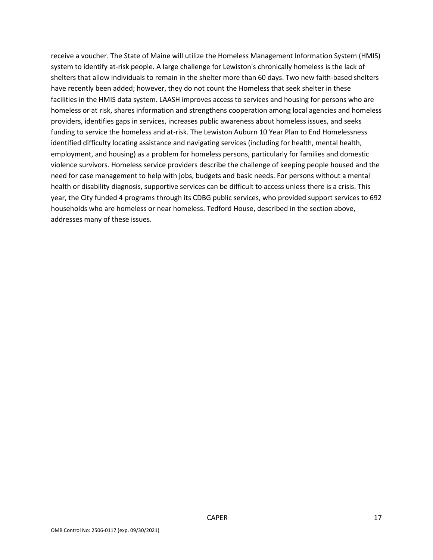receive a voucher. The State of Maine will utilize the Homeless Management Information System (HMIS) system to identify at-risk people. A large challenge for Lewiston's chronically homeless is the lack of shelters that allow individuals to remain in the shelter more than 60 days. Two new faith-based shelters have recently been added; however, they do not count the Homeless that seek shelter in these facilities in the HMIS data system. LAASH improves access to services and housing for persons who are homeless or at risk, shares information and strengthens cooperation among local agencies and homeless providers, identifies gaps in services, increases public awareness about homeless issues, and seeks funding to service the homeless and at-risk. The Lewiston Auburn 10 Year Plan to End Homelessness identified difficulty locating assistance and navigating services (including for health, mental health, employment, and housing) as a problem for homeless persons, particularly for families and domestic violence survivors. Homeless service providers describe the challenge of keeping people housed and the need for case management to help with jobs, budgets and basic needs. For persons without a mental health or disability diagnosis, supportive services can be difficult to access unless there is a crisis. This year, the City funded 4 programs through its CDBG public services, who provided support services to 692 households who are homeless or near homeless. Tedford House, described in the section above, addresses many of these issues.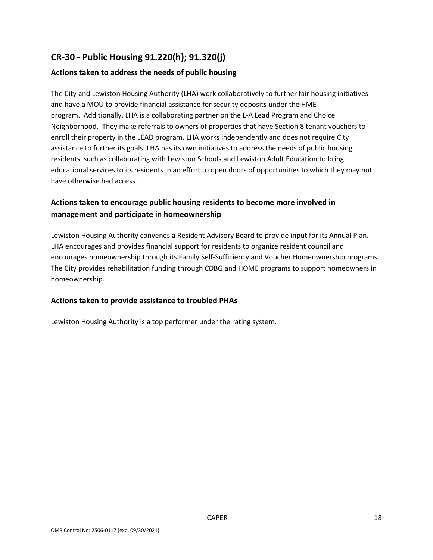## **CR-30 - Public Housing 91.220(h); 91.320(j)**

#### **Actions taken to address the needs of public housing**

The City and Lewiston Housing Authority (LHA) work collaboratively to further fair housing initiatives and have a MOU to provide financial assistance for security deposits under the HME program. Additionally, LHA is a collaborating partner on the L-A Lead Program and Choice Neighborhood. They make referrals to owners of properties that have Section 8 tenant vouchers to enroll their property in the LEAD program. LHA works independently and does not require City assistance to further its goals. LHA has its own initiatives to address the needs of public housing residents, such as collaborating with Lewiston Schools and Lewiston Adult Education to bring educational services to its residents in an effort to open doors of opportunities to which they may not have otherwise had access.

## **Actions taken to encourage public housing residents to become more involved in management and participate in homeownership**

Lewiston Housing Authority convenes a Resident Advisory Board to provide input for its Annual Plan. LHA encourages and provides financial support for residents to organize resident council and encourages homeownership through its Family Self-Sufficiency and Voucher Homeownership programs. The City provides rehabilitation funding through CDBG and HOME programs to support homeowners in homeownership.

#### **Actions taken to provide assistance to troubled PHAs**

Lewiston Housing Authority is a top performer under the rating system.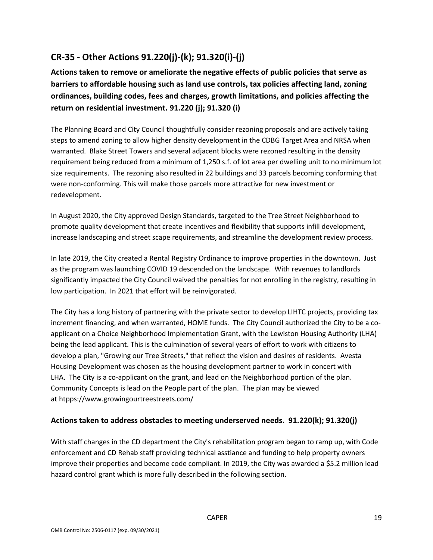## **CR-35 - Other Actions 91.220(j)-(k); 91.320(i)-(j)**

**Actions taken to remove or ameliorate the negative effects of public policies that serve as barriers to affordable housing such as land use controls, tax policies affecting land, zoning ordinances, building codes, fees and charges, growth limitations, and policies affecting the return on residential investment. 91.220 (j); 91.320 (i)**

The Planning Board and City Council thoughtfully consider rezoning proposals and are actively taking steps to amend zoning to allow higher density development in the CDBG Target Area and NRSA when warranted. Blake Street Towers and several adjacent blocks were rezoned resulting in the density requirement being reduced from a minimum of 1,250 s.f. of lot area per dwelling unit to no minimum lot size requirements. The rezoning also resulted in 22 buildings and 33 parcels becoming conforming that were non-conforming. This will make those parcels more attractive for new investment or redevelopment.

In August 2020, the City approved Design Standards, targeted to the Tree Street Neighborhood to promote quality development that create incentives and flexibility that supports infill development, increase landscaping and street scape requirements, and streamline the development review process.

In late 2019, the City created a Rental Registry Ordinance to improve properties in the downtown. Just as the program was launching COVID 19 descended on the landscape. With revenues to landlords significantly impacted the City Council waived the penalties for not enrolling in the registry, resulting in low participation. In 2021 that effort will be reinvigorated.

The City has a long history of partnering with the private sector to develop LIHTC projects, providing tax increment financing, and when warranted, HOME funds. The City Council authorized the City to be a coapplicant on a Choice Neighborhood Implementation Grant, with the Lewiston Housing Authority (LHA) being the lead applicant. This is the culmination of several years of effort to work with citizens to develop a plan, "Growing our Tree Streets," that reflect the vision and desires of residents. Avesta Housing Development was chosen as the housing development partner to work in concert with LHA. The City is a co-applicant on the grant, and lead on the Neighborhood portion of the plan. Community Concepts is lead on the People part of the plan. The plan may be viewed at htpps://www.growingourtreestreets.com/

## **Actions taken to address obstacles to meeting underserved needs. 91.220(k); 91.320(j)**

With staff changes in the CD department the City's rehabilitation program began to ramp up, with Code enforcement and CD Rehab staff providing technical asstiance and funding to help property owners improve their properties and become code compliant. In 2019, the City was awarded a \$5.2 million lead hazard control grant which is more fully described in the following section.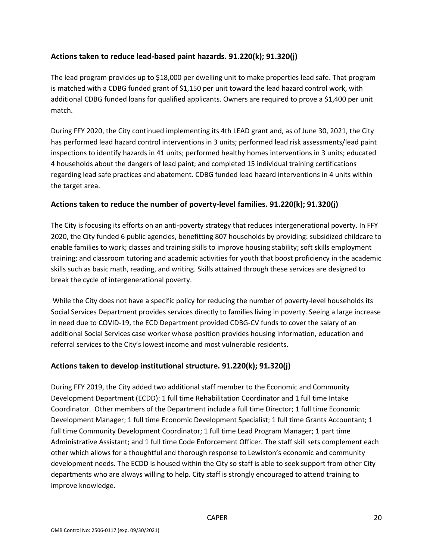#### **Actions taken to reduce lead-based paint hazards. 91.220(k); 91.320(j)**

The lead program provides up to \$18,000 per dwelling unit to make properties lead safe. That program is matched with a CDBG funded grant of \$1,150 per unit toward the lead hazard control work, with additional CDBG funded loans for qualified applicants. Owners are required to prove a \$1,400 per unit match.

During FFY 2020, the City continued implementing its 4th LEAD grant and, as of June 30, 2021, the City has performed lead hazard control interventions in 3 units; performed lead risk assessments/lead paint inspections to identify hazards in 41 units; performed healthy homes interventions in 3 units; educated 4 households about the dangers of lead paint; and completed 15 individual training certifications regarding lead safe practices and abatement. CDBG funded lead hazard interventions in 4 units within the target area.

#### **Actions taken to reduce the number of poverty-level families. 91.220(k); 91.320(j)**

The City is focusing its efforts on an anti-poverty strategy that reduces intergenerational poverty. In FFY 2020, the City funded 6 public agencies, benefitting 807 households by providing: subsidized childcare to enable families to work; classes and training skills to improve housing stability; soft skills employment training; and classroom tutoring and academic activities for youth that boost proficiency in the academic skills such as basic math, reading, and writing. Skills attained through these services are designed to break the cycle of intergenerational poverty.

While the City does not have a specific policy for reducing the number of poverty-level households its Social Services Department provides services directly to families living in poverty. Seeing a large increase in need due to COVID-19, the ECD Department provided CDBG-CV funds to cover the salary of an additional Social Services case worker whose position provides housing information, education and referral services to the City's lowest income and most vulnerable residents.

## **Actions taken to develop institutional structure. 91.220(k); 91.320(j)**

During FFY 2019, the City added two additional staff member to the Economic and Community Development Department (ECDD): 1 full time Rehabilitation Coordinator and 1 full time Intake Coordinator. Other members of the Department include a full time Director; 1 full time Economic Development Manager; 1 full time Economic Development Specialist; 1 full time Grants Accountant; 1 full time Community Development Coordinator; 1 full time Lead Program Manager; 1 part time Administrative Assistant; and 1 full time Code Enforcement Officer. The staff skill sets complement each other which allows for a thoughtful and thorough response to Lewiston's economic and community development needs. The ECDD is housed within the City so staff is able to seek support from other City departments who are always willing to help. City staff is strongly encouraged to attend training to improve knowledge.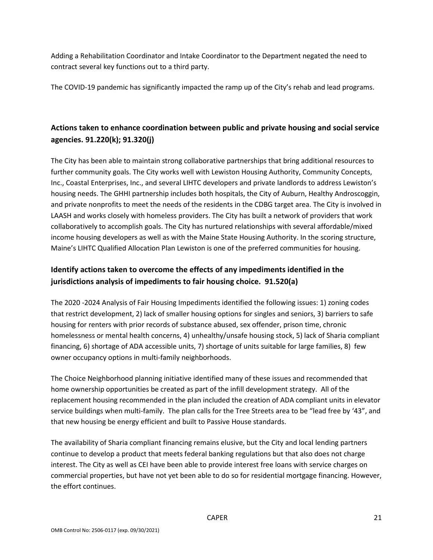Adding a Rehabilitation Coordinator and Intake Coordinator to the Department negated the need to contract several key functions out to a third party.

The COVID-19 pandemic has significantly impacted the ramp up of the City's rehab and lead programs.

## **Actions taken to enhance coordination between public and private housing and social service agencies. 91.220(k); 91.320(j)**

The City has been able to maintain strong collaborative partnerships that bring additional resources to further community goals. The City works well with Lewiston Housing Authority, Community Concepts, Inc., Coastal Enterprises, Inc., and several LIHTC developers and private landlords to address Lewiston's housing needs. The GHHI partnership includes both hospitals, the City of Auburn, Healthy Androscoggin, and private nonprofits to meet the needs of the residents in the CDBG target area. The City is involved in LAASH and works closely with homeless providers. The City has built a network of providers that work collaboratively to accomplish goals. The City has nurtured relationships with several affordable/mixed income housing developers as well as with the Maine State Housing Authority. In the scoring structure, Maine's LIHTC Qualified Allocation Plan Lewiston is one of the preferred communities for housing.

## **Identify actions taken to overcome the effects of any impediments identified in the jurisdictions analysis of impediments to fair housing choice. 91.520(a)**

The 2020 -2024 Analysis of Fair Housing Impediments identified the following issues: 1) zoning codes that restrict development, 2) lack of smaller housing options for singles and seniors, 3) barriers to safe housing for renters with prior records of substance abused, sex offender, prison time, chronic homelessness or mental health concerns, 4) unhealthy/unsafe housing stock, 5) lack of Sharia compliant financing, 6) shortage of ADA accessible units, 7) shortage of units suitable for large families, 8) few owner occupancy options in multi-family neighborhoods.

The Choice Neighborhood planning initiative identified many of these issues and recommended that home ownership opportunities be created as part of the infill development strategy. All of the replacement housing recommended in the plan included the creation of ADA compliant units in elevator service buildings when multi-family. The plan calls for the Tree Streets area to be "lead free by '43", and that new housing be energy efficient and built to Passive House standards.

The availability of Sharia compliant financing remains elusive, but the City and local lending partners continue to develop a product that meets federal banking regulations but that also does not charge interest. The City as well as CEI have been able to provide interest free loans with service charges on commercial properties, but have not yet been able to do so for residential mortgage financing. However, the effort continues.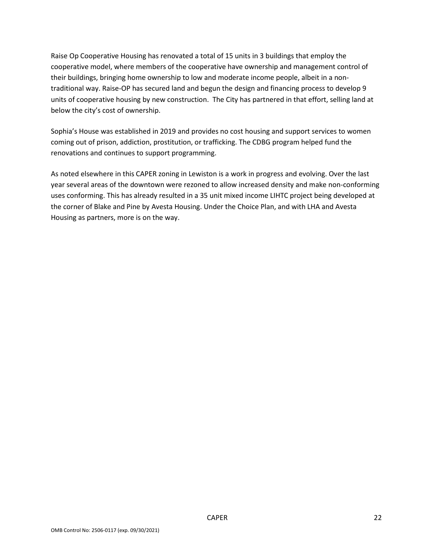Raise Op Cooperative Housing has renovated a total of 15 units in 3 buildings that employ the cooperative model, where members of the cooperative have ownership and management control of their buildings, bringing home ownership to low and moderate income people, albeit in a nontraditional way. Raise-OP has secured land and begun the design and financing process to develop 9 units of cooperative housing by new construction. The City has partnered in that effort, selling land at below the city's cost of ownership.

Sophia's House was established in 2019 and provides no cost housing and support services to women coming out of prison, addiction, prostitution, or trafficking. The CDBG program helped fund the renovations and continues to support programming.

As noted elsewhere in this CAPER zoning in Lewiston is a work in progress and evolving. Over the last year several areas of the downtown were rezoned to allow increased density and make non-conforming uses conforming. This has already resulted in a 35 unit mixed income LIHTC project being developed at the corner of Blake and Pine by Avesta Housing. Under the Choice Plan, and with LHA and Avesta Housing as partners, more is on the way.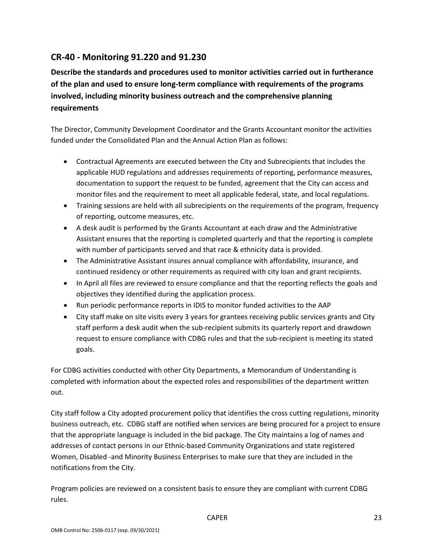## **CR-40 - Monitoring 91.220 and 91.230**

**Describe the standards and procedures used to monitor activities carried out in furtherance of the plan and used to ensure long-term compliance with requirements of the programs involved, including minority business outreach and the comprehensive planning requirements**

The Director, Community Development Coordinator and the Grants Accountant monitor the activities funded under the Consolidated Plan and the Annual Action Plan as follows:

- Contractual Agreements are executed between the City and Subrecipients that includes the applicable HUD regulations and addresses requirements of reporting, performance measures, documentation to support the request to be funded, agreement that the City can access and monitor files and the requirement to meet all applicable federal, state, and local regulations.
- Training sessions are held with all subrecipients on the requirements of the program, frequency of reporting, outcome measures, etc.
- A desk audit is performed by the Grants Accountant at each draw and the Administrative Assistant ensures that the reporting is completed quarterly and that the reporting is complete with number of participants served and that race & ethnicity data is provided.
- The Administrative Assistant insures annual compliance with affordability, insurance, and continued residency or other requirements as required with city loan and grant recipients.
- In April all files are reviewed to ensure compliance and that the reporting reflects the goals and objectives they identified during the application process.
- Run periodic performance reports in IDIS to monitor funded activities to the AAP
- City staff make on site visits every 3 years for grantees receiving public services grants and City staff perform a desk audit when the sub-recipient submits its quarterly report and drawdown request to ensure compliance with CDBG rules and that the sub-recipient is meeting its stated goals.

For CDBG activities conducted with other City Departments, a Memorandum of Understanding is completed with information about the expected roles and responsibilities of the department written out.

City staff follow a City adopted procurement policy that identifies the cross cutting regulations, minority business outreach, etc. CDBG staff are notified when services are being procured for a project to ensure that the appropriate language is included in the bid package. The City maintains a log of names and addresses of contact persons in our Ethnic-based Community Organizations and state registered Women, Disabled -and Minority Business Enterprises to make sure that they are included in the notifications from the City.

Program policies are reviewed on a consistent basis to ensure they are compliant with current CDBG rules.